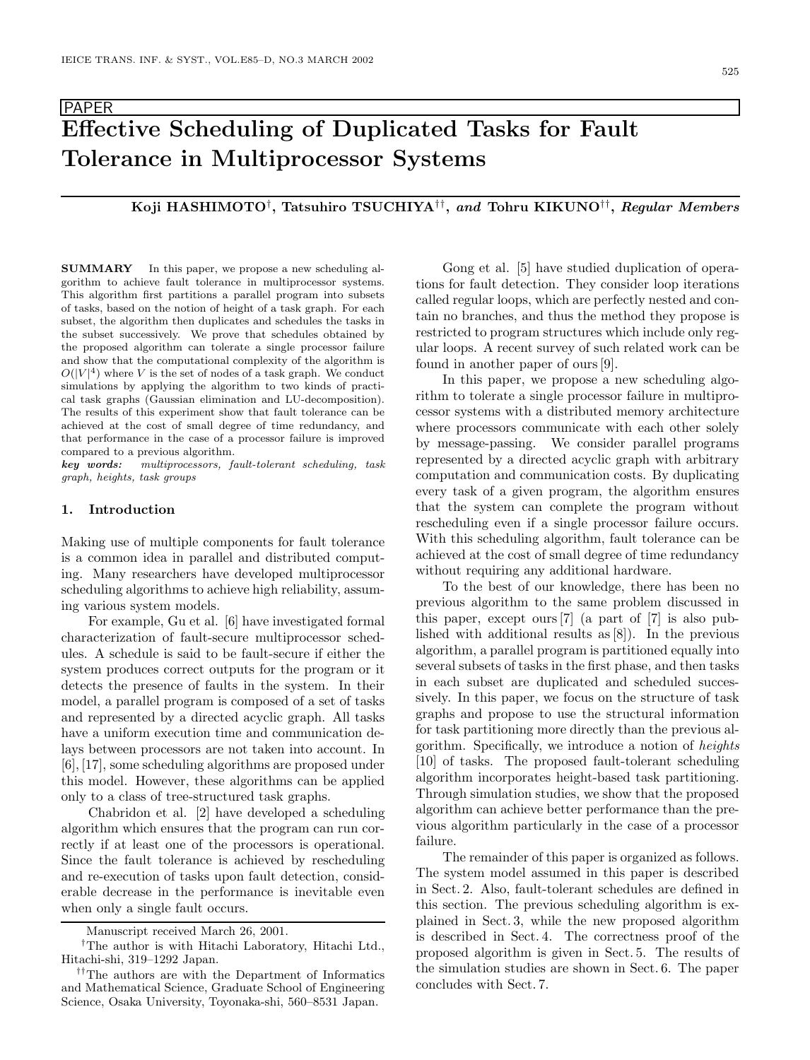# **Effective Scheduling of Duplicated Tasks for Fault Tolerance in Multiprocessor Systems**

# **Koji HASHIMOTO**†**, Tatsuhiro TSUCHIYA**††**,** *and* **Tohru KIKUNO**††**,** *Regular Members*

**SUMMARY** In this paper, we propose a new scheduling algorithm to achieve fault tolerance in multiprocessor systems. This algorithm first partitions a parallel program into subsets of tasks, based on the notion of height of a task graph. For each subset, the algorithm then duplicates and schedules the tasks in the subset successively. We prove that schedules obtained by the proposed algorithm can tolerate a single processor failure and show that the computational complexity of the algorithm is  $O(|V|^4)$  where *V* is the set of nodes of a task graph. We conduct simulations by applying the algorithm to two kinds of practical task graphs (Gaussian elimination and LU-decomposition). The results of this experiment show that fault tolerance can be achieved at the cost of small degree of time redundancy, and that performance in the case of a processor failure is improved compared to a previous algorithm.

*key words: multiprocessors, fault-tolerant scheduling, task graph, heights, task groups*

# **1. Introduction**

PAPER

Making use of multiple components for fault tolerance is a common idea in parallel and distributed computing. Many researchers have developed multiprocessor scheduling algorithms to achieve high reliability, assuming various system models.

For example, Gu et al. [6] have investigated formal characterization of fault-secure multiprocessor schedules. A schedule is said to be fault-secure if either the system produces correct outputs for the program or it detects the presence of faults in the system. In their model, a parallel program is composed of a set of tasks and represented by a directed acyclic graph. All tasks have a uniform execution time and communication delays between processors are not taken into account. In [6], [17], some scheduling algorithms are proposed under this model. However, these algorithms can be applied only to a class of tree-structured task graphs.

Chabridon et al. [2] have developed a scheduling algorithm which ensures that the program can run correctly if at least one of the processors is operational. Since the fault tolerance is achieved by rescheduling and re-execution of tasks upon fault detection, considerable decrease in the performance is inevitable even when only a single fault occurs.

Gong et al. [5] have studied duplication of operations for fault detection. They consider loop iterations called regular loops, which are perfectly nested and contain no branches, and thus the method they propose is restricted to program structures which include only regular loops. A recent survey of such related work can be found in another paper of ours [9].

In this paper, we propose a new scheduling algorithm to tolerate a single processor failure in multiprocessor systems with a distributed memory architecture where processors communicate with each other solely by message-passing. We consider parallel programs represented by a directed acyclic graph with arbitrary computation and communication costs. By duplicating every task of a given program, the algorithm ensures that the system can complete the program without rescheduling even if a single processor failure occurs. With this scheduling algorithm, fault tolerance can be achieved at the cost of small degree of time redundancy without requiring any additional hardware.

To the best of our knowledge, there has been no previous algorithm to the same problem discussed in this paper, except ours [7] (a part of [7] is also published with additional results as [8]). In the previous algorithm, a parallel program is partitioned equally into several subsets of tasks in the first phase, and then tasks in each subset are duplicated and scheduled successively. In this paper, we focus on the structure of task graphs and propose to use the structural information for task partitioning more directly than the previous algorithm. Specifically, we introduce a notion of *heights* [10] of tasks. The proposed fault-tolerant scheduling algorithm incorporates height-based task partitioning. Through simulation studies, we show that the proposed algorithm can achieve better performance than the previous algorithm particularly in the case of a processor failure.

The remainder of this paper is organized as follows. The system model assumed in this paper is described in Sect. 2. Also, fault-tolerant schedules are defined in this section. The previous scheduling algorithm is explained in Sect. 3, while the new proposed algorithm is described in Sect. 4. The correctness proof of the proposed algorithm is given in Sect. 5. The results of the simulation studies are shown in Sect. 6. The paper concludes with Sect. 7.

Manuscript received March 26, 2001.

*<sup>†</sup>*The author is with Hitachi Laboratory, Hitachi Ltd., Hitachi-shi, 319–1292 Japan.

*<sup>††</sup>*The authors are with the Department of Informatics and Mathematical Science, Graduate School of Engineering Science, Osaka University, Toyonaka-shi, 560–8531 Japan.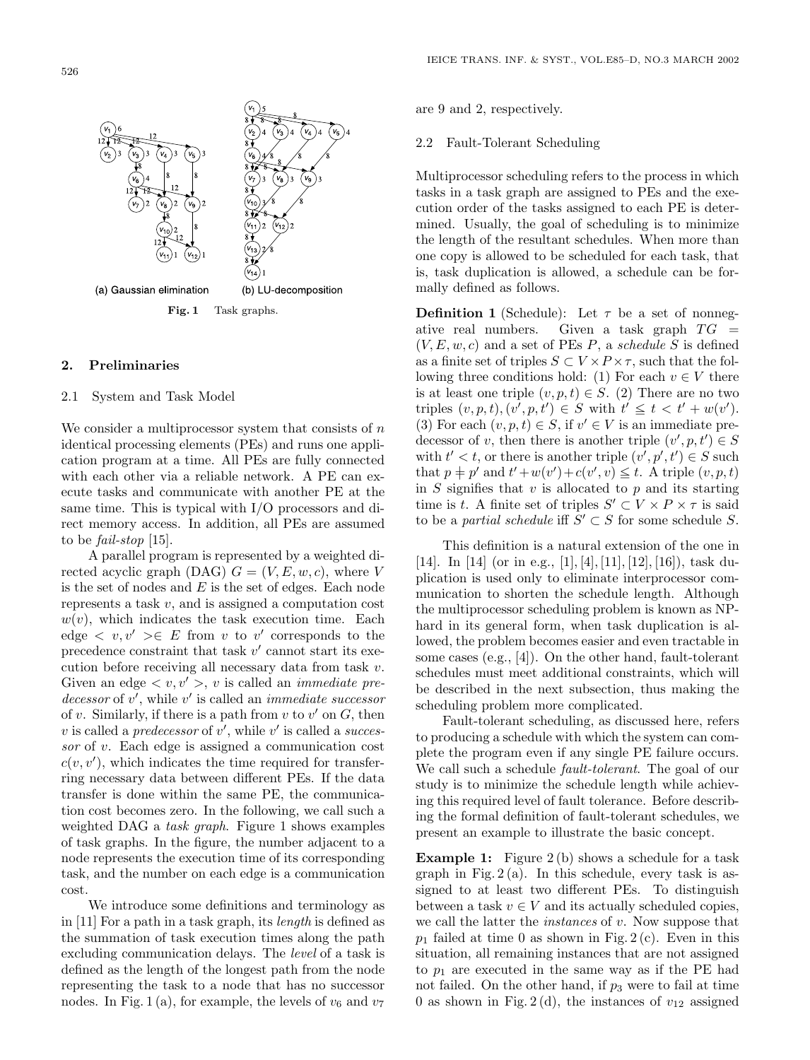

#### **2. Preliminaries**

# 2.1 System and Task Model

We consider a multiprocessor system that consists of  $\boldsymbol{n}$ identical processing elements (PEs) and runs one application program at a time. All PEs are fully connected with each other via a reliable network. A PE can execute tasks and communicate with another PE at the same time. This is typical with I/O processors and direct memory access. In addition, all PEs are assumed to be *fail-stop* [15].

A parallel program is represented by a weighted directed acyclic graph (DAG)  $G = (V, E, w, c)$ , where V is the set of nodes and  $E$  is the set of edges. Each node represents a task v, and is assigned a computation cost  $w(v)$ , which indicates the task execution time. Each edge  $\langle v, v' \rangle \in E$  from v to v' corresponds to the precedence constraint that task v' cannot start its exeprecedence constraint that task  $v'$  cannot start its execution before receiving all necessary data from task  $v$ . cution before receiving all necessary data from task v. Given an edge  $\langle v, v' \rangle$ , v is called an *immediate pre-*<br>decessor of v' while v' is called an *immediate successor*  $decessor$  of v', while v' is called an *immediate successor*<br>of v-Similarly if there is a path from v to v' on G-then of v. Similarly, if there is a path from v to v' on G, then<br>v is called a *predecessor* of v' while v' is called a *succes* v is called a *predecessor* of v', while v' is called a *successor* of v. Each edge is assigned a communication cost *sor* of v. Each edge is assigned a communication cost  $c(v, v')$ , which indicates the time required for transfer-<br>ring necessary data between different PEs. If the data ring necessary data between different PEs. If the data transfer is done within the same PE, the communication cost becomes zero. In the following, we call such a weighted DAG a *task graph*. Figure 1 shows examples of task graphs. In the figure, the number adjacent to a node represents the execution time of its corresponding task, and the number on each edge is a communication cost.

We introduce some definitions and terminology as in [11] For a path in a task graph, its *length* is defined as the summation of task execution times along the path excluding communication delays. The *level* of a task is defined as the length of the longest path from the node representing the task to a node that has no successor nodes. In Fig. 1(a), for example, the levels of  $v_6$  and  $v_7$ 

are 9 and 2, respectively.

#### 2.2 Fault-Tolerant Scheduling

Multiprocessor scheduling refers to the process in which tasks in a task graph are assigned to PEs and the execution order of the tasks assigned to each PE is determined. Usually, the goal of scheduling is to minimize the length of the resultant schedules. When more than one copy is allowed to be scheduled for each task, that is, task duplication is allowed, a schedule can be formally defined as follows.

**Definition 1** (Schedule): Let  $\tau$  be a set of nonnegative real numbers. Given a task graph  $TG =$ ative real numbers. Given a task graph  $TG = (VE, w, c)$  and a set of PEs  $P$  a schedule S is defined  $(V, E, w, c)$  and a set of PEs P, a *schedule* S is defined<br>as a finite set of triples  $S \subset V \times P \times \tau$  such that the folas a finite set of triples  $S \subset V \times P \times \tau$ , such that the following three conditions hold: (1) For each  $v \in V$  there is at least one triple  $(v, p, t) \in S$ . (2) There are no two triples  $(v, p, t), (v', p, t') \in S$  with  $t' \leq t < t' + w(v')$ .<br>(3) For each  $(v, p, t) \in S$  if  $v' \in V$  is an immediate pro-(3) For each  $(v, p, t) \in S$ , if  $v' \in V$  is an immediate pre-<br>decessor of v, then there is another triple  $(v', n, t') \in S$ decessor of v, then there is another triple  $(v', p, t') \in S$ <br>with  $t' < t$  or there is another triple  $(v', p', t') \in S$  such with  $t' < t$ , or there is another triple  $(v', p', t') \in S$  such<br>that  $n + n'$  and  $t' + w(v') + c(v' \, v) \leq t$ . A triple  $(v, n, t)$ that  $p \neq p'$  and  $t' + w(v') + c(v', v) \leq t$ . A triple  $(v, p, t)$ <br>in S signifies that v is allocated to n and its starting in  $S$  signifies that  $v$  is allocated to  $p$  and its starting time is t. A finite set of triples  $S' \subset V \times P \times \tau$  is said to be a *nartial schedule* iff  $S' \subset S$  for some schedule S to be a *partial schedule* iff  $S' \subset S$  for some schedule S.

This definition is a natural extension of the one in [14]. In [14] (or in e.g., [1], [4], [11], [12], [16]), task duplication is used only to eliminate interprocessor communication to shorten the schedule length. Although the multiprocessor scheduling problem is known as NPhard in its general form, when task duplication is allowed, the problem becomes easier and even tractable in some cases (e.g., [4]). On the other hand, fault-tolerant schedules must meet additional constraints, which will be described in the next subsection, thus making the scheduling problem more complicated.

Fault-tolerant scheduling, as discussed here, refers to producing a schedule with which the system can complete the program even if any single PE failure occurs. We call such a schedule *fault-tolerant*. The goal of our study is to minimize the schedule length while achieving this required level of fault tolerance. Before describing the formal definition of fault-tolerant schedules, we present an example to illustrate the basic concept.

**Example 1:** Figure 2(b) shows a schedule for a task graph in Fig.  $2(a)$ . In this schedule, every task is assigned to at least two different PEs. To distinguish between a task  $v \in V$  and its actually scheduled copies, we call the latter the *instances* of v. Now suppose that  $p_1$  failed at time 0 as shown in Fig. 2 (c). Even in this situation, all remaining instances that are not assigned to  $p_1$  are executed in the same way as if the PE had not failed. On the other hand, if  $p_3$  were to fail at time 0 as shown in Fig. 2(d), the instances of  $v_{12}$  assigned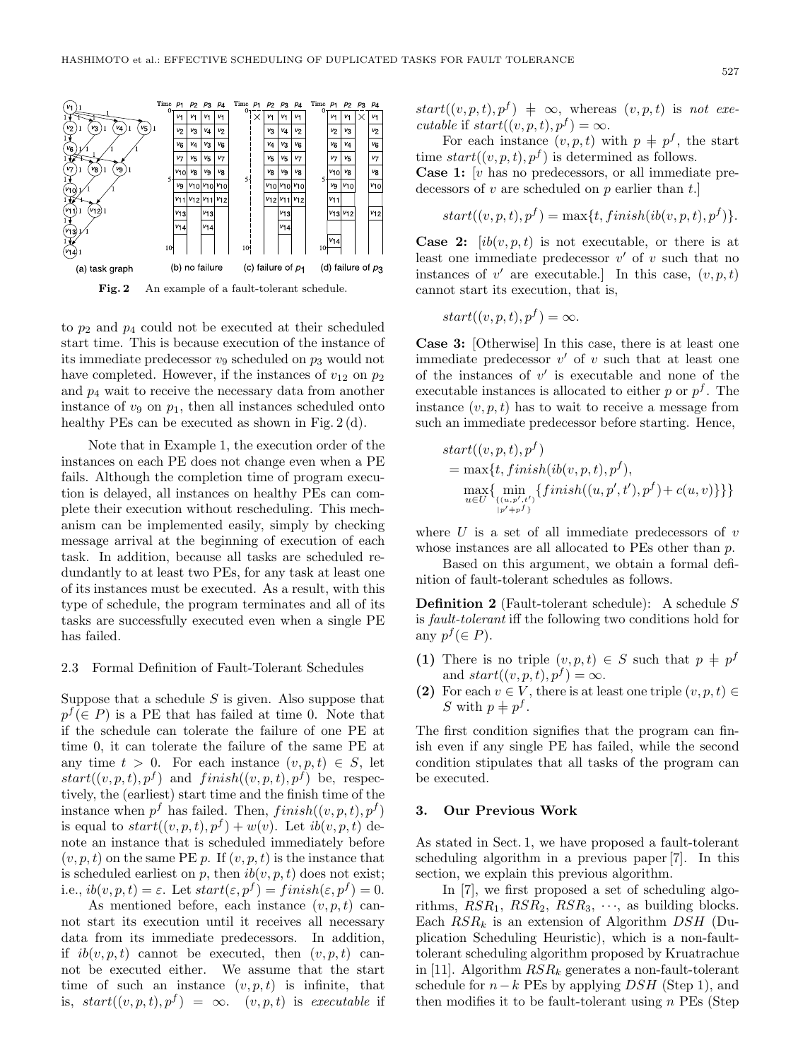

to  $p_2$  and  $p_4$  could not be executed at their scheduled start time. This is because execution of the instance of its immediate predecessor  $v_9$  scheduled on  $p_3$  would not have completed. However, if the instances of  $v_{12}$  on  $p_2$ and  $p_4$  wait to receive the necessary data from another instance of  $v_9$  on  $p_1$ , then all instances scheduled onto healthy PEs can be executed as shown in Fig. 2(d).

Note that in Example 1, the execution order of the instances on each PE does not change even when a PE fails. Although the completion time of program execution is delayed, all instances on healthy PEs can complete their execution without rescheduling. This mechanism can be implemented easily, simply by checking message arrival at the beginning of execution of each task. In addition, because all tasks are scheduled redundantly to at least two PEs, for any task at least one of its instances must be executed. As a result, with this type of schedule, the program terminates and all of its tasks are successfully executed even when a single PE has failed.

## 2.3 Formal Definition of Fault-Tolerant Schedules

Suppose that a schedule  $S$  is given. Also suppose that  $p^f(\in P)$  is a PE that has failed at time 0. Note that if the schedule can tolerate the failure of one PE at time 0, it can tolerate the failure of the same PE at any time  $t > 0$ . For each instance  $(v, p, t) \in S$ , let  $start((v, p, t), p^f)$  and  $f inish((v, p, t), p^f)$  be, respectively, the (earliest) start time and the finish time of the instance when  $p^f$  has failed. Then,  $finish((v, p, t), p^f)$ is equal to  $start((v, p, t), p^f) + w(v)$ . Let  $ib(v, p, t)$  denote an instance that is scheduled immediately before  $(v, p, t)$  on the same PE p. If  $(v, p, t)$  is the instance that is scheduled earliest on  $p$ , then  $ib(v, p, t)$  does not exist; i.e.,  $ib(v, p, t) = \varepsilon$ . Let  $start(\varepsilon, p^f) = finish(\varepsilon, p^f) = 0$ .

As mentioned before, each instance  $(v, p, t)$  cannot start its execution until it receives all necessary data from its immediate predecessors. In addition, if  $ib(v, p, t)$  cannot be executed, then  $(v, p, t)$  cannot be executed either. We assume that the start time of such an instance  $(v, p, t)$  is infinite, that is,  $start((v, p, t), p^f) = \infty$ .  $(v, p, t)$  is *executable* if  $start((v, p, t), p^f) \neq \infty$ , whereas  $(v, p, t)$  is *not executable* if  $start((v, p, t), p^f) = \infty$ .

For each instance  $(v, p, t)$  with  $p \neq p^f$ , the start time  $start((v, p, t), p^f)$  is determined as follows. **Case 1:** [v has no predecessors, or all immediate predecessors of  $v$  are scheduled on  $p$  earlier than  $t$ .

$$
start((v, p, t), p^f) = \max\{t, finish(ib(v, p, t), p^f)\}.
$$

**Case 2:**  $[ib(v, p, t)]$  is not executable, or there is at least one immediate predecessor  $v'$  of v such that no<br>instances of  $v'$  are executable l In this case  $(v, n, t)$ instances of  $v'$  are executable.] In this case,  $(v, p, t)$ <br>cannot start its execution that is cannot start its execution, that is,

$$
start((v, p, t), p^f) = \infty.
$$

**Case 3:** [Otherwise] In this case, there is at least one immediate predecessor  $v'$  of  $v$  such that at least one<br>of the instances of  $v'$  is executable and none of the of the instances of  $v'$  is executable and none of the executable instances is allocated to either n or  $p^f$ . The executable instances is allocated to either  $p$  or  $p<sup>f</sup>$ . The instance  $(v, p, t)$  has to wait to receive a message from such an immediate predecessor before starting. Hence,

$$
start((v, p, t), p^f)
$$
  
= max{t, finish(ib(v, p, t), p^f),  
\nmax{ min<sub>u \in U</sub> {*in, p', t'*}  
\n{*in, p', t'*}  
\n
$$
[p^f + p^f]
$$

where  $U$  is a set of all immediate predecessors of  $v$ whose instances are all allocated to PEs other than  $p$ .

Based on this argument, we obtain a formal definition of fault-tolerant schedules as follows.

**Definition 2** (Fault-tolerant schedule): A schedule S is *fault-tolerant* iff the following two conditions hold for any  $p^f$  ( $\in$  *P*).

- **(1)** There is no triple  $(v, p, t) \in S$  such that  $p \neq p^f$ and  $start((v, p, t), p^f) = \infty$ .
- **(2)** For each  $v \in V$ , there is at least one triple  $(v, p, t) \in$ S with  $p \neq p^f$ .

The first condition signifies that the program can finish even if any single PE has failed, while the second condition stipulates that all tasks of the program can be executed.

# **3. Our Previous Work**

As stated in Sect. 1, we have proposed a fault-tolerant scheduling algorithm in a previous paper [7]. In this section, we explain this previous algorithm.

In [7], we first proposed a set of scheduling algorithms,  $RSR_1$ ,  $RSR_2$ ,  $RSR_3$ ,  $\cdots$ , as building blocks. Each  $RSR_k$  is an extension of Algorithm  $DSH$  (Duplication Scheduling Heuristic), which is a non-faulttolerant scheduling algorithm proposed by Kruatrachue in [11]. Algorithm RSR*<sup>k</sup>* generates a non-fault-tolerant schedule for  $n-k$  PEs by applying DSH (Step 1), and then modifies it to be fault-tolerant using  $n$  PEs (Step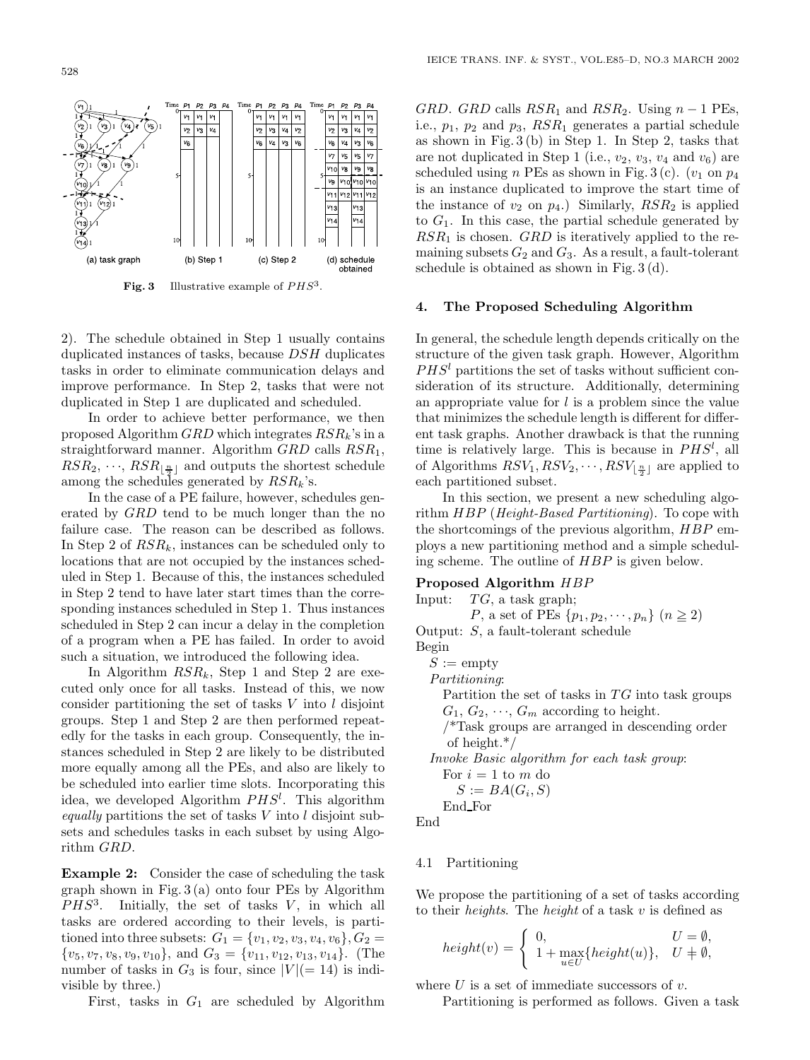

**Fig. 3** Illustrative example of *PHS*3.

2). The schedule obtained in Step 1 usually contains duplicated instances of tasks, because DSH duplicates tasks in order to eliminate communication delays and improve performance. In Step 2, tasks that were not duplicated in Step 1 are duplicated and scheduled.

In order to achieve better performance, we then proposed Algorithm GRD which integrates RSR*<sup>k</sup>*'s in a straightforward manner. Algorithm  $GRD$  calls  $RSR_1$ ,  $RSR_2, \dots, RSR_{\lfloor \frac{n}{2} \rfloor}$  and outputs the shortest schedule<br>among the schedules generated by  $RSR$ , 's among the schedules generated by RSR*<sup>k</sup>*'s.

In the case of a PE failure, however, schedules generated by GRD tend to be much longer than the no failure case. The reason can be described as follows. In Step 2 of RSR*<sup>k</sup>*, instances can be scheduled only to locations that are not occupied by the instances scheduled in Step 1. Because of this, the instances scheduled in Step 2 tend to have later start times than the corresponding instances scheduled in Step 1. Thus instances scheduled in Step 2 can incur a delay in the completion of a program when a PE has failed. In order to avoid such a situation, we introduced the following idea.

In Algorithm  $RSR_k$ , Step 1 and Step 2 are executed only once for all tasks. Instead of this, we now consider partitioning the set of tasks  $V$  into  $l$  disjoint groups. Step 1 and Step 2 are then performed repeatedly for the tasks in each group. Consequently, the instances scheduled in Step 2 are likely to be distributed more equally among all the PEs, and also are likely to be scheduled into earlier time slots. Incorporating this idea, we developed Algorithm  $PHS<sup>l</sup>$ . This algorithm<br> *equally* partitions the set of tasks V into *l* disjoint sub*equally* partitions the set of tasks V into l disjoint subsets and schedules tasks in each subset by using Algorithm GRD.

**Example 2:** Consider the case of scheduling the task graph shown in Fig.  $3(a)$  onto four PEs by Algorithm  $PHS<sup>3</sup>$ . Initially, the set of tasks  $V$ , in which all tasks are ordered according to their levels, is partitioned into three subsets:  $G_1 = \{v_1, v_2, v_3, v_4, v_6\}, G_2 =$  $\{v_5, v_7, v_8, v_9, v_{10}\}, \text{ and } G_3 = \{v_{11}, v_{12}, v_{13}, v_{14}\}.$  (The number of tasks in  $G_3$  is four, since  $|V| (= 14)$  is indivisible by three.)

First, tasks in  $G_1$  are scheduled by Algorithm

GRD. GRD calls  $RSR_1$  and  $RSR_2$ . Using  $n-1$  PEs, i.e.,  $p_1$ ,  $p_2$  and  $p_3$ ,  $RSR_1$  generates a partial schedule as shown in Fig. 3 (b) in Step 1. In Step 2, tasks that are not duplicated in Step 1 (i.e.,  $v_2$ ,  $v_3$ ,  $v_4$  and  $v_6$ ) are scheduled using n PEs as shown in Fig. 3 (c).  $(v_1 \text{ on } p_4)$ is an instance duplicated to improve the start time of the instance of  $v_2$  on  $p_4$ .) Similarly,  $RSR_2$  is applied to  $G_1$ . In this case, the partial schedule generated by  $RSR<sub>1</sub>$  is chosen.  $GRD$  is iteratively applied to the remaining subsets  $G_2$  and  $G_3$ . As a result, a fault-tolerant schedule is obtained as shown in Fig. 3 (d).

#### **4. The Proposed Scheduling Algorithm**

In general, the schedule length depends critically on the structure of the given task graph. However, Algorithm  $PHS<sup>l</sup>$  partitions the set of tasks without sufficient consideration of its structure. Additionally, determining an appropriate value for  $l$  is a problem since the value that minimizes the schedule length is different for different task graphs. Another drawback is that the running time is relatively large. This is because in  $PHS<sup>l</sup>$ , all of Algorithms  $RSV_1, RSV_2, \ldots, RSV_{n+1}$  are applied to of Algorithms  $RSV_1, RSV_2, \cdots, RSV_{\lfloor \frac{n}{2} \rfloor}$  are applied to each partitioned subset each partitioned subset.

In this section, we present a new scheduling algorithm HBP (*Height-Based Partitioning*). To cope with the shortcomings of the previous algorithm, HBP employs a new partitioning method and a simple scheduling scheme. The outline of HBP is given below.

# **Proposed Algorithm** HBP<br>Input: TG, a task graph;

 $TG$ , a task graph;

P, a set of PEs  $\{p_1, p_2, \cdots, p_n\}$   $(n \ge 2)$ 

Output: S, a fault-tolerant schedule

Begin

 $S := \text{empty}$ 

*Partitioning*:

Partition the set of tasks in  $TG$  into task groups  $G_1, G_2, \cdots, G_m$  according to height.

/\*Task groups are arranged in descending order of height.\*/

*Invoke Basic algorithm for each task group*: For  $i = 1$  to m do

 $S := BA(G_i, S)$ 

End For

End

#### 4.1 Partitioning

We propose the partitioning of a set of tasks according to their *heights*. The *height* of a task v is defined as

$$
height(v) = \begin{cases} 0, & U = \emptyset, \\ 1 + \max_{u \in U} \{height(u)\}, & U \neq \emptyset, \end{cases}
$$

where  $U$  is a set of immediate successors of  $v$ .

Partitioning is performed as follows. Given a task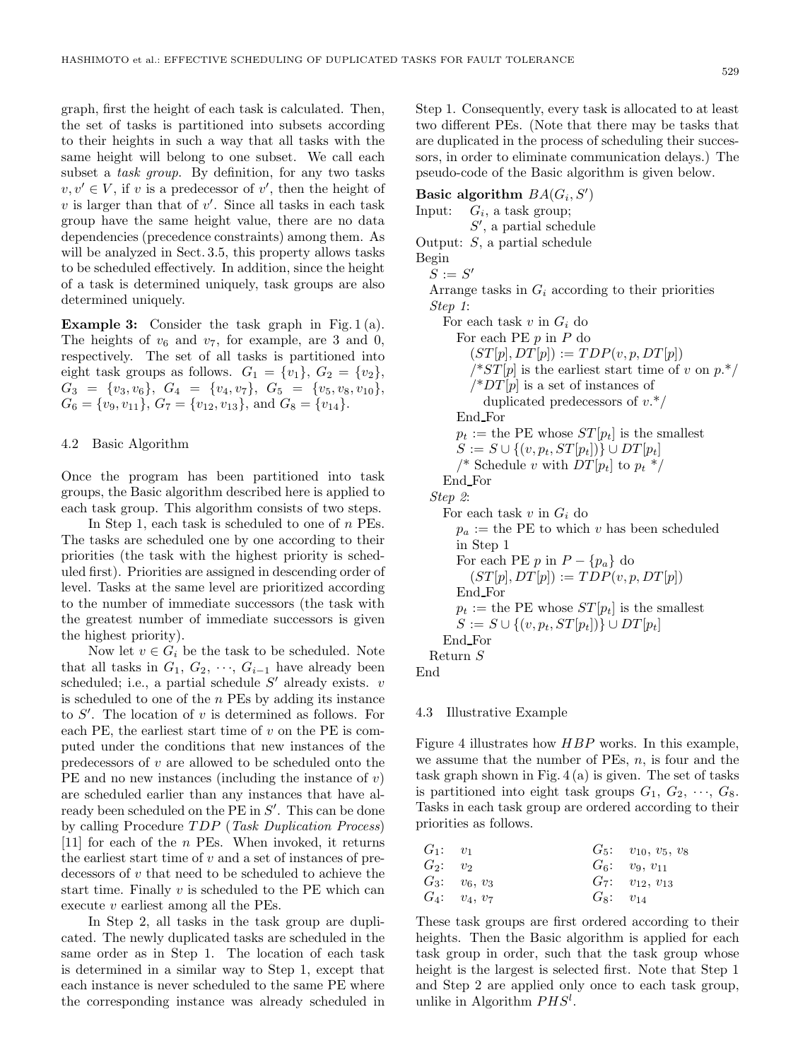graph, first the height of each task is calculated. Then, the set of tasks is partitioned into subsets according to their heights in such a way that all tasks with the same height will belong to one subset. We call each subset a *task group*. By definition, for any two tasks  $v, v' \in V$ , if v is a predecessor of v', then the height of v' s larger than that of v'. Since all tasks in each task  $v$  is larger than that of  $v'$ . Since all tasks in each task<br>group have the same height value, there are no data group have the same height value, there are no data dependencies (precedence constraints) among them. As will be analyzed in Sect. 3.5, this property allows tasks to be scheduled effectively. In addition, since the height of a task is determined uniquely, task groups are also determined uniquely.

**Example 3:** Consider the task graph in Fig. 1 (a). The heights of  $v_6$  and  $v_7$ , for example, are 3 and 0, respectively. The set of all tasks is partitioned into eight task groups as follows.  $G_1 = \{v_1\}$ ,  $G_2 = \{v_2\}$ ,  $G_3 = \{v_3, v_6\}, \ G_4 = \{v_4, v_7\}, \ G_5 = \{v_5, v_8, v_{10}\},\$  $G_6 = \{v_9, v_{11}\}, G_7 = \{v_{12}, v_{13}\}, \text{ and } G_8 = \{v_{14}\}.$ 

#### 4.2 Basic Algorithm

Once the program has been partitioned into task groups, the Basic algorithm described here is applied to each task group. This algorithm consists of two steps.

In Step 1, each task is scheduled to one of  $n$  PEs. The tasks are scheduled one by one according to their priorities (the task with the highest priority is scheduled first). Priorities are assigned in descending order of level. Tasks at the same level are prioritized according to the number of immediate successors (the task with the greatest number of immediate successors is given the highest priority).

Now let  $v \in G_i$  be the task to be scheduled. Note that all tasks in  $G_1, G_2, \cdots, G_{i-1}$  have already been scheduled; i.e., a partial schedule  $S'$  already exists.  $v$ <br>is scheduled to one of the *n* PEs by adding its instance is scheduled to one of the  $n$  PEs by adding its instance to S'. The location of v is determined as follows. For<br>each PE the earliest start time of v on the PE is comeach PE, the earliest start time of  $v$  on the PE is computed under the conditions that new instances of the predecessors of  $v$  are allowed to be scheduled onto the PE and no new instances (including the instance of  $v$ ) are scheduled earlier than any instances that have already been scheduled on the PE in S'. This can be done<br>by calling Procedure *TDP (Tosk Duplication Process*) by calling Procedure TDP (*Task Duplication Process*)  $[11]$  for each of the *n* PEs. When invoked, it returns the earliest start time of  $v$  and a set of instances of predecessors of  $v$  that need to be scheduled to achieve the start time. Finally  $v$  is scheduled to the PE which can execute v earliest among all the PEs.

In Step 2, all tasks in the task group are duplicated. The newly duplicated tasks are scheduled in the same order as in Step 1. The location of each task is determined in a similar way to Step 1, except that each instance is never scheduled to the same PE where the corresponding instance was already scheduled in

Step 1. Consequently, every task is allocated to at least two different PEs. (Note that there may be tasks that are duplicated in the process of scheduling their successors, in order to eliminate communication delays.) The pseudo-code of the Basic algorithm is given below.

**Basic algorithm**  $BA(G_i, S')$ <br>
Input:  $G_i$  a task group: Input: G*i*, a task group;  $S'$ , a partial schedule<br> $S$  a partial schedule Output: S, a partial schedule Begin  $S := S'$ <br>Arrange Arrange tasks in <sup>G</sup>*<sup>i</sup>* according to their priorities *Step 1*: For each task <sup>v</sup> in <sup>G</sup>*<sup>i</sup>* do For each PE  $p$  in  $P$  do  $(ST[p], DT[p]) := TDP(v, p, DT[p])$  $/*ST[p]$  is the earliest start time of v on  $p.*/$  $\sqrt{P^2}$  is a set of instances of duplicated predecessors of  $v.*/$ End For  $p_t :=$  the PE whose  $ST[p_t]$  is the smallest  $S := S ∪ { (v, p_t, ST[p_t]) } ∪ DT[p_t]$ /\* Schedule v with  $DT[p_t]$  to  $p_t$  \*/ End For *Step 2*: For each task <sup>v</sup> in <sup>G</sup>*<sup>i</sup>* do  $p_a :=$  the PE to which v has been scheduled in Step 1 For each PE  $p$  in  $P - \{p_a\}$  do  $(ST[p], DT[p]) := TDP(v, p, DT[p])$ End For  $p_t :=$  the PE whose  $ST[p_t]$  is the smallest  $S := S \cup \{(v, p_t, ST[p_t])\} \cup DT[p_t]$ End For Return S End

#### 4.3 Illustrative Example

Figure 4 illustrates how HBP works. In this example, we assume that the number of PEs,  $n$ , is four and the task graph shown in Fig.  $4(a)$  is given. The set of tasks is partitioned into eight task groups  $G_1, G_2, \cdots, G_8$ . Tasks in each task group are ordered according to their priorities as follows.

| $G_1: v_1$ |                 |               | $G_5:$ $v_{10}, v_5, v_8$ |
|------------|-----------------|---------------|---------------------------|
| $G_2: v_2$ |                 |               | $G_6:$ $v_9, v_{11}$      |
|            | $G_3: v_6, v_3$ |               | $G_7:$ $v_{12}, v_{13}$   |
|            | $G_4: v_4, v_7$ | $G_8: v_{14}$ |                           |
|            |                 |               |                           |

These task groups are first ordered according to their heights. Then the Basic algorithm is applied for each task group in order, such that the task group whose height is the largest is selected first. Note that Step 1 and Step 2 are applied only once to each task group, unlike in Algorithm PHS*<sup>l</sup>* .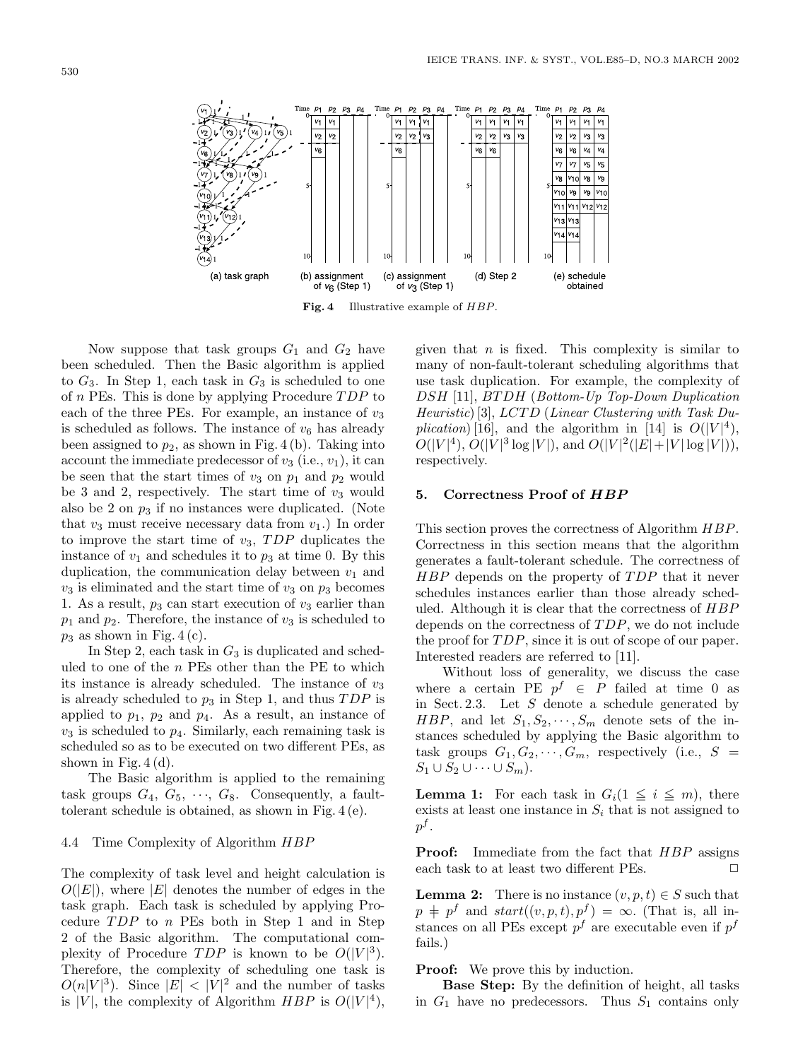

**Fig. 4** Illustrative example of *HBP*.

Now suppose that task groups  $G_1$  and  $G_2$  have been scheduled. Then the Basic algorithm is applied to  $G_3$ . In Step 1, each task in  $G_3$  is scheduled to one of  $n$  PEs. This is done by applying Procedure  $TDP$  to each of the three PEs. For example, an instance of  $v_3$ is scheduled as follows. The instance of  $v_6$  has already been assigned to  $p_2$ , as shown in Fig. 4 (b). Taking into account the immediate predecessor of  $v_3$  (i.e.,  $v_1$ ), it can be seen that the start times of  $v_3$  on  $p_1$  and  $p_2$  would be 3 and 2, respectively. The start time of  $v_3$  would also be 2 on  $p_3$  if no instances were duplicated. (Note that  $v_3$  must receive necessary data from  $v_1$ .) In order to improve the start time of  $v_3$ , TDP duplicates the instance of  $v_1$  and schedules it to  $p_3$  at time 0. By this duplication, the communication delay between  $v_1$  and  $v_3$  is eliminated and the start time of  $v_3$  on  $p_3$  becomes 1. As a result,  $p_3$  can start execution of  $v_3$  earlier than  $p_1$  and  $p_2$ . Therefore, the instance of  $v_3$  is scheduled to  $p_3$  as shown in Fig. 4 (c).

In Step 2, each task in  $G_3$  is duplicated and scheduled to one of the  $n$  PEs other than the PE to which its instance is already scheduled. The instance of  $v_3$ is already scheduled to  $p_3$  in Step 1, and thus  $TDP$  is applied to  $p_1$ ,  $p_2$  and  $p_4$ . As a result, an instance of  $v_3$  is scheduled to  $p_4$ . Similarly, each remaining task is scheduled so as to be executed on two different PEs, as shown in Fig.  $4(d)$ .

The Basic algorithm is applied to the remaining task groups  $G_4, G_5, \cdots, G_8$ . Consequently, a faulttolerant schedule is obtained, as shown in Fig. 4 (e).

# 4.4 Time Complexity of Algorithm HBP

The complexity of task level and height calculation is  $O(|E|)$ , where  $|E|$  denotes the number of edges in the task graph. Each task is scheduled by applying Procedure TDP to n PEs both in Step 1 and in Step 2 of the Basic algorithm. The computational complexity of Procedure  $TDP$  is known to be  $O(|V|^3)$ .<br>Therefore the complexity of scheduling one task is Therefore, the complexity of scheduling one task is  $O(n|V|^3)$ . Since  $|E| < |V|^2$  and the number of tasks is  $|V|$  the complexity of Algorithm HRP is  $O(|V|^4)$ is |V|, the complexity of Algorithm  $HBP$  is  $O(|V|^4)$ ,

given that  $n$  is fixed. This complexity is similar to many of non-fault-tolerant scheduling algorithms that use task duplication. For example, the complexity of DSH [11], BTDH (*Bottom-Up Top-Down Duplication Heuristic*) [3], LCT D (*Linear Clustering with Task Duplication*) [16], and the algorithm in [14] is  $O(|V|^4)$ ,<br> $O(|V|^4)$ ,  $O(|V|^3 \log |V|)$  and  $O(|V|^2 (|E|+|V| \log |V|))$  $O(|V|^4)$ ,  $O(|V|^3 \log |V|)$ , and  $O(|V|^2(|E|+|V| \log |V|)),$ <br>respectively respectively.

# **5. Correctness Proof of** *HBP*

This section proves the correctness of Algorithm HBP. Correctness in this section means that the algorithm generates a fault-tolerant schedule. The correctness of HBP depends on the property of TDP that it never schedules instances earlier than those already scheduled. Although it is clear that the correctness of HBP depends on the correctness of TDP, we do not include the proof for TDP, since it is out of scope of our paper. Interested readers are referred to [11].

Without loss of generality, we discuss the case where a certain PE  $p^f \in P$  failed at time 0 as in Sect. 2.3. Let  $S$  denote a schedule generated by HBP, and let  $S_1, S_2, \dots, S_m$  denote sets of the instances scheduled by applying the Basic algorithm to task groups  $G_1, G_2, \cdots, G_m$ , respectively (i.e.,  $S =$  $S_1 \cup S_2 \cup \cdots \cup S_m$ ).

**Lemma 1:** For each task in  $G_i(1 \leq i \leq m)$ , there exists at least one instance in  $S_i$  that is not assigned to  $p^f$ .

**Proof:** Immediate from the fact that  $HBP$  assigns each task to at least two different  $PFs$ each task to at least two different PEs.

**Lemma 2:** There is no instance  $(v, p, t) \in S$  such that  $p \neq p^f$  and  $start((v, p, t), p^f) = \infty$ . (That is, all instances on all PEs except  $p^f$  are executable even if  $p^f$ fails.)

**Proof:** We prove this by induction.

**Base Step:** By the definition of height, all tasks in  $G_1$  have no predecessors. Thus  $S_1$  contains only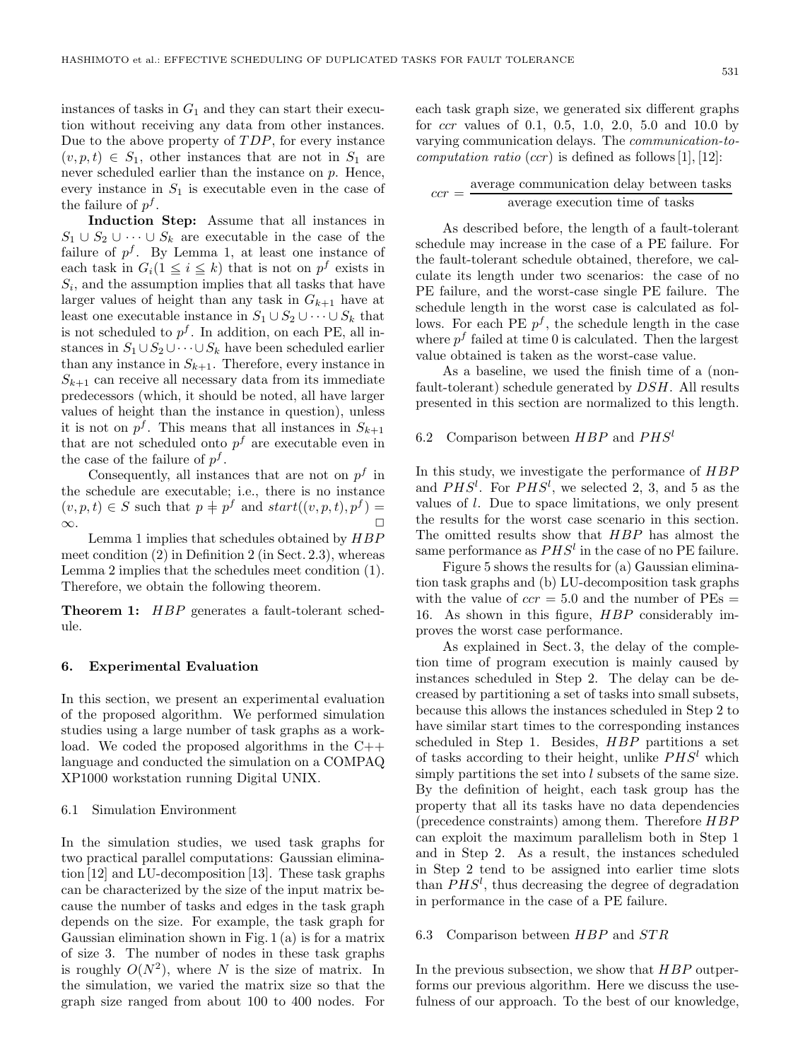531

instances of tasks in  $G_1$  and they can start their execution without receiving any data from other instances. Due to the above property of TDP, for every instance  $(v, p, t) \in S_1$ , other instances that are not in  $S_1$  are never scheduled earlier than the instance on p. Hence, every instance in  $S_1$  is executable even in the case of the failure of <sup>p</sup>*<sup>f</sup>* .

**Induction Step:** Assume that all instances in  $S_1 \cup S_2 \cup \cdots \cup S_k$  are executable in the case of the failure of  $p^f$ . By Lemma 1, at least one instance of each task in  $G_i(1 \leq i \leq k)$  that is not on  $p^f$  exists in  $S_i$ , and the assumption implies that all tasks that have larger values of height than any task in  $G_{k+1}$  have at least one executable instance in  $S_1 \cup S_2 \cup \cdots \cup S_k$  that is not scheduled to  $p<sup>f</sup>$ . In addition, on each PE, all instances in  $S_1 \cup S_2 \cup \cdots \cup S_k$  have been scheduled earlier than any instance in  $S_{k+1}$ . Therefore, every instance in  $S_{k+1}$  can receive all necessary data from its immediate predecessors (which, it should be noted, all have larger values of height than the instance in question), unless it is not on  $p^f$ . This means that all instances in  $S_{k+1}$ that are not scheduled onto  $p<sup>f</sup>$  are executable even in the case of the failure of <sup>p</sup>*<sup>f</sup>* .

Consequently, all instances that are not on  $p<sup>f</sup>$  in the schedule are executable; i.e., there is no instance  $(v, p, t) \in S$  such that  $p \neq p^f$  and  $start((v, p, t), p^f) = \infty$ .  $\infty$ .

Lemma 1 implies that schedules obtained by HBP meet condition (2) in Definition 2 (in Sect. 2.3), whereas Lemma 2 implies that the schedules meet condition (1). Therefore, we obtain the following theorem.

**Theorem 1:** HBP generates a fault-tolerant schedule.

#### **6. Experimental Evaluation**

In this section, we present an experimental evaluation of the proposed algorithm. We performed simulation studies using a large number of task graphs as a workload. We coded the proposed algorithms in the C++ language and conducted the simulation on a COMPAQ XP1000 workstation running Digital UNIX.

# 6.1 Simulation Environment

In the simulation studies, we used task graphs for two practical parallel computations: Gaussian elimination [12] and LU-decomposition [13]. These task graphs can be characterized by the size of the input matrix because the number of tasks and edges in the task graph depends on the size. For example, the task graph for Gaussian elimination shown in Fig. 1 (a) is for a matrix of size 3. The number of nodes in these task graphs is roughly  $O(N^2)$ , where N is the size of matrix. In the simulation, we varied the matrix size so that the graph size ranged from about 100 to 400 nodes. For

each task graph size, we generated six different graphs for ccr values of 0.1, 0.5, 1.0, 2.0, 5.0 and 10.0 by varying communication delays. The *communication-tocomputation ratio*  $(ccr)$  is defined as follows [1], [12]:

| $ccr =$ | average communication delay between tasks |
|---------|-------------------------------------------|
|         | average execution time of tasks           |

As described before, the length of a fault-tolerant schedule may increase in the case of a PE failure. For the fault-tolerant schedule obtained, therefore, we calculate its length under two scenarios: the case of no PE failure, and the worst-case single PE failure. The schedule length in the worst case is calculated as follows. For each PE  $p^f$ , the schedule length in the case where  $p<sup>f</sup>$  failed at time 0 is calculated. Then the largest value obtained is taken as the worst-case value.

As a baseline, we used the finish time of a (nonfault-tolerant) schedule generated by DSH. All results presented in this section are normalized to this length.

# 6.2 Comparison between HBP and PHS*<sup>l</sup>*

In this study, we investigate the performance of HBP and  $PHS^l$ . For  $PHS^l$ , we selected 2, 3, and 5 as the values of *l*. Due to space limitations, we only present values of l. Due to space limitations, we only present the results for the worst case scenario in this section. The omitted results show that HBP has almost the same performance as  $PHS<sup>l</sup>$  in the case of no PE failure.

Figure 5 shows the results for (a) Gaussian elimination task graphs and (b) LU-decomposition task graphs with the value of  $ccr = 5.0$  and the number of  $\text{PEs} =$ 16. As shown in this figure, HBP considerably improves the worst case performance.

As explained in Sect. 3, the delay of the completion time of program execution is mainly caused by instances scheduled in Step 2. The delay can be decreased by partitioning a set of tasks into small subsets, because this allows the instances scheduled in Step 2 to have similar start times to the corresponding instances scheduled in Step 1. Besides, HBP partitions a set of tasks according to their height, unlike PHS*<sup>l</sup>* which simply partitions the set into l subsets of the same size. By the definition of height, each task group has the property that all its tasks have no data dependencies (precedence constraints) among them. Therefore HBP can exploit the maximum parallelism both in Step 1 and in Step 2. As a result, the instances scheduled in Step 2 tend to be assigned into earlier time slots than  $PHS<sup>l</sup>$ , thus decreasing the degree of degradation<br>in performance in the case of a PE failure in performance in the case of a PE failure.

# 6.3 Comparison between HBP and STR

In the previous subsection, we show that  $HBP$  outperforms our previous algorithm. Here we discuss the usefulness of our approach. To the best of our knowledge,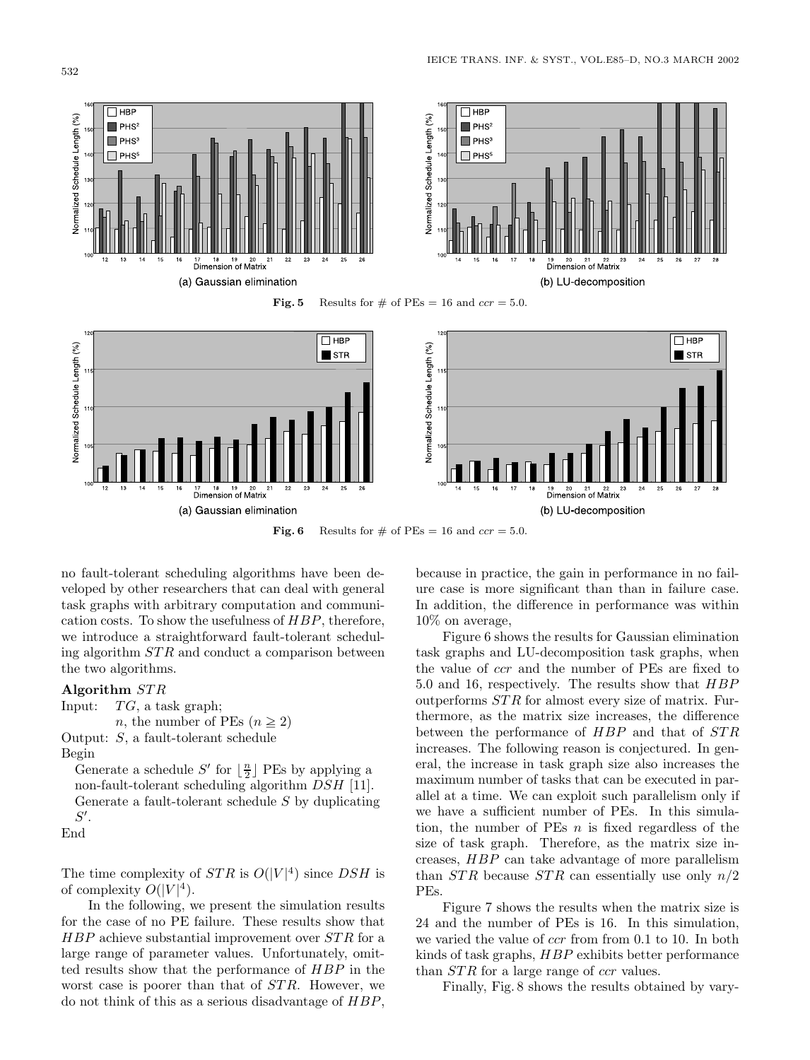

**Fig. 6** Results for  $\#$  of PEs = 16 and *ccr* = 5.0.

no fault-tolerant scheduling algorithms have been developed by other researchers that can deal with general task graphs with arbitrary computation and communication costs. To show the usefulness of HBP, therefore, we introduce a straightforward fault-tolerant scheduling algorithm STR and conduct a comparison between the two algorithms.

# **Algorithm** STR<br>Input: TG, a ta

 $TG$ , a task graph;

```
n, the number of PEs (n \geq 2)Output: S, a fault-tolerant schedule
```
Begin

Generate a schedule  $S'$  for  $\lfloor \frac{n}{2} \rfloor$  PEs by applying a<br>non-fault-tolerant scheduling algorithm  $DSH$  [11] non-fault-tolerant scheduling algorithm DSH [11]. Generate a fault-tolerant schedule S by duplicating '.

 $\frac{S'}{\mathrm{End}}$ 

The time complexity of  $STR$  is  $O(|V|^4)$  since  $DSH$  is of complexity  $O(|V|^4)$ of complexity  $O(|V|^4)$ .<br>In the following w

In the following, we present the simulation results for the case of no PE failure. These results show that  $HBP$  achieve substantial improvement over  $STR$  for a large range of parameter values. Unfortunately, omitted results show that the performance of HBP in the worst case is poorer than that of *STR*. However, we do not think of this as a serious disadvantage of HBP,

because in practice, the gain in performance in no failure case is more significant than than in failure case. In addition, the difference in performance was within 10% on average,

Figure 6 shows the results for Gaussian elimination task graphs and LU-decomposition task graphs, when the value of ccr and the number of PEs are fixed to 5.0 and 16, respectively. The results show that HBP outperforms STR for almost every size of matrix. Furthermore, as the matrix size increases, the difference between the performance of HBP and that of STR increases. The following reason is conjectured. In general, the increase in task graph size also increases the maximum number of tasks that can be executed in parallel at a time. We can exploit such parallelism only if we have a sufficient number of PEs. In this simulation, the number of PEs  $n$  is fixed regardless of the size of task graph. Therefore, as the matrix size increases, HBP can take advantage of more parallelism than  $STR$  because  $STR$  can essentially use only  $n/2$ PEs.

Figure 7 shows the results when the matrix size is 24 and the number of PEs is 16. In this simulation, we varied the value of ccr from from 0.1 to 10. In both kinds of task graphs, HBP exhibits better performance than *STR* for a large range of *ccr* values.

Finally, Fig. 8 shows the results obtained by vary-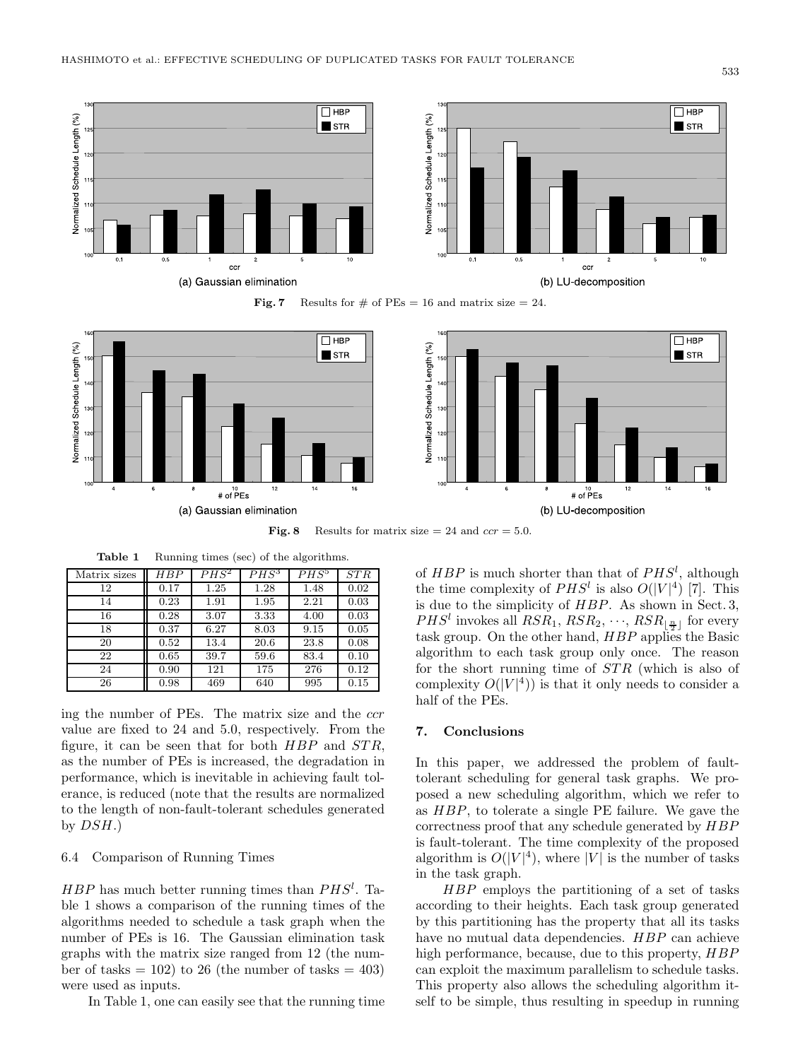





**Fig. 8** Results for matrix size  $= 24$  and *ccr*  $= 5.0$ .

**Table 1** Running times (sec) of the algorithms.

| Matrix sizes | HBP  | $PHS^2$ | $PHS^3$ | $PHS^5$ | STR  |
|--------------|------|---------|---------|---------|------|
| 12           | 0.17 | 1.25    | 1.28    | 1.48    | 0.02 |
| 14           | 0.23 | 1.91    | 1.95    | 2.21    | 0.03 |
| 16           | 0.28 | 3.07    | 3.33    | 4.00    | 0.03 |
| 18           | 0.37 | 6.27    | 8.03    | 9.15    | 0.05 |
| 20           | 0.52 | 13.4    | 20.6    | 23.8    | 0.08 |
| 22           | 0.65 | 39.7    | 59.6    | 83.4    | 0.10 |
| 24           | 0.90 | 121     | 175     | 276     | 0.12 |
| 26           | 0.98 | 469     | 640     | 995     | 0.15 |

ing the number of PEs. The matrix size and the ccr value are fixed to 24 and 5.0, respectively. From the figure, it can be seen that for both  $HBP$  and  $STR$ , as the number of PEs is increased, the degradation in performance, which is inevitable in achieving fault tolerance, is reduced (note that the results are normalized to the length of non-fault-tolerant schedules generated by  $DSH$ .)

# 6.4 Comparison of Running Times

 $HBP$  has much better running times than  $PHS<sup>l</sup>$ . Ta-<br>ble 1 shows a comparison of the running times of the ble 1 shows a comparison of the running times of the algorithms needed to schedule a task graph when the number of PEs is 16. The Gaussian elimination task graphs with the matrix size ranged from 12 (the number of tasks  $= 102$ ) to 26 (the number of tasks  $= 403$ ) were used as inputs.

In Table 1, one can easily see that the running time

of *HBP* is much shorter than that of  $PHS^l$ , although the time complexity of  $PHS^l$  is also  $O(|V|^4)$  [7]. This the time complexity of  $PHS^l$  is also  $O(|V|^4)$  [7]. This due to the simplicity of  $HPP$ , As shown in Sect 3. is due to the simplicity of  $HBP$ . As shown in Sect. 3,  $PHS^l$  invokes all  $RSR_1, RSR_2, \cdots, RSR_{\lfloor \frac{n}{2} \rfloor}$  for every task group. On the other hand  $HRP$  applies the Basic task group. On the other hand, HBP applies the Basic algorithm to each task group only once. The reason for the short running time of STR (which is also of complexity  $O(|V|^4)$  is that it only needs to consider a half of the PEs half of the PEs.

# **7. Conclusions**

In this paper, we addressed the problem of faulttolerant scheduling for general task graphs. We proposed a new scheduling algorithm, which we refer to as HBP, to tolerate a single PE failure. We gave the correctness proof that any schedule generated by HBP is fault-tolerant. The time complexity of the proposed algorithm is  $O(|V|^4)$ , where |V| is the number of tasks<br>in the task graph in the task graph.

HBP employs the partitioning of a set of tasks according to their heights. Each task group generated by this partitioning has the property that all its tasks have no mutual data dependencies. HBP can achieve high performance, because, due to this property,  $HBP$ can exploit the maximum parallelism to schedule tasks. This property also allows the scheduling algorithm itself to be simple, thus resulting in speedup in running